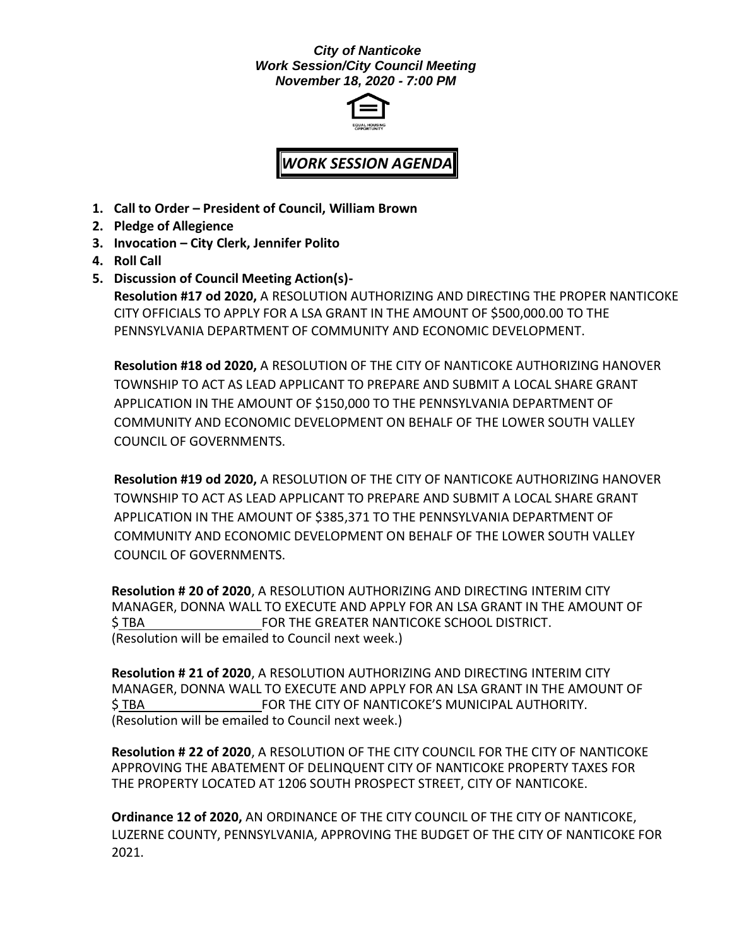#### *City of Nanticoke Work Session/City Council Meeting November 18, 2020 - 7:00 PM*



# *WORK SESSION AGENDA*

- **1. Call to Order – President of Council, William Brown**
- **2. Pledge of Allegience**
- **3. Invocation – City Clerk, Jennifer Polito**
- **4. Roll Call**
- **5. Discussion of Council Meeting Action(s)- Resolution #17 od 2020,** A RESOLUTION AUTHORIZING AND DIRECTING THE PROPER NANTICOKE CITY OFFICIALS TO APPLY FOR A LSA GRANT IN THE AMOUNT OF \$500,000.00 TO THE PENNSYLVANIA DEPARTMENT OF COMMUNITY AND ECONOMIC DEVELOPMENT.

**Resolution #18 od 2020,** A RESOLUTION OF THE CITY OF NANTICOKE AUTHORIZING HANOVER TOWNSHIP TO ACT AS LEAD APPLICANT TO PREPARE AND SUBMIT A LOCAL SHARE GRANT APPLICATION IN THE AMOUNT OF \$150,000 TO THE PENNSYLVANIA DEPARTMENT OF COMMUNITY AND ECONOMIC DEVELOPMENT ON BEHALF OF THE LOWER SOUTH VALLEY COUNCIL OF GOVERNMENTS.

**Resolution #19 od 2020,** A RESOLUTION OF THE CITY OF NANTICOKE AUTHORIZING HANOVER TOWNSHIP TO ACT AS LEAD APPLICANT TO PREPARE AND SUBMIT A LOCAL SHARE GRANT APPLICATION IN THE AMOUNT OF \$385,371 TO THE PENNSYLVANIA DEPARTMENT OF COMMUNITY AND ECONOMIC DEVELOPMENT ON BEHALF OF THE LOWER SOUTH VALLEY COUNCIL OF GOVERNMENTS.

**Resolution # 20 of 2020**, A RESOLUTION AUTHORIZING AND DIRECTING INTERIM CITY MANAGER, DONNA WALL TO EXECUTE AND APPLY FOR AN LSA GRANT IN THE AMOUNT OF \$ TBA FOR THE GREATER NANTICOKE SCHOOL DISTRICT. (Resolution will be emailed to Council next week.)

**Resolution # 21 of 2020**, A RESOLUTION AUTHORIZING AND DIRECTING INTERIM CITY MANAGER, DONNA WALL TO EXECUTE AND APPLY FOR AN LSA GRANT IN THE AMOUNT OF \$ TBA FOR THE CITY OF NANTICOKE'S MUNICIPAL AUTHORITY. (Resolution will be emailed to Council next week.)

**Resolution # 22 of 2020**, A RESOLUTION OF THE CITY COUNCIL FOR THE CITY OF NANTICOKE APPROVING THE ABATEMENT OF DELINQUENT CITY OF NANTICOKE PROPERTY TAXES FOR THE PROPERTY LOCATED AT 1206 SOUTH PROSPECT STREET, CITY OF NANTICOKE.

**Ordinance 12 of 2020,** AN ORDINANCE OF THE CITY COUNCIL OF THE CITY OF NANTICOKE, LUZERNE COUNTY, PENNSYLVANIA, APPROVING THE BUDGET OF THE CITY OF NANTICOKE FOR 2021.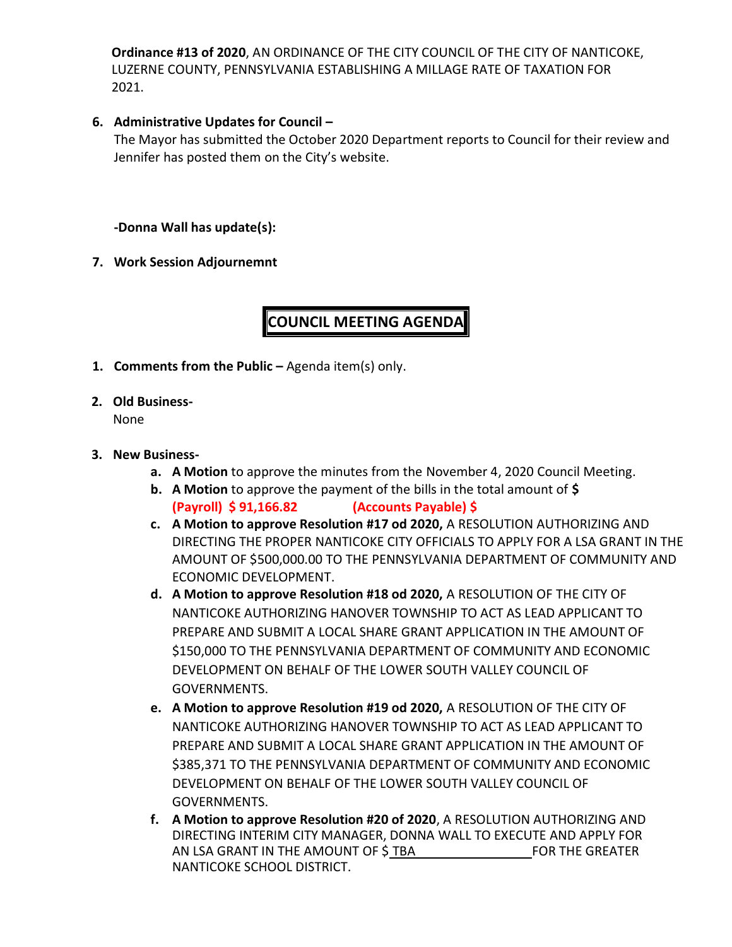**Ordinance #13 of 2020**, AN ORDINANCE OF THE CITY COUNCIL OF THE CITY OF NANTICOKE, LUZERNE COUNTY, PENNSYLVANIA ESTABLISHING A MILLAGE RATE OF TAXATION FOR 2021.

#### **6. Administrative Updates for Council –**

The Mayor has submitted the October 2020 Department reports to Council for their review and Jennifer has posted them on the City's website.

### **-Donna Wall has update(s):**

**7. Work Session Adjournemnt**

## **COUNCIL MEETING AGENDA**

- **1. Comments from the Public –** Agenda item(s) only.
- **2. Old Business-**

None

#### **3. New Business-**

- **a. A Motion** to approve the minutes from the November 4, 2020 Council Meeting.
- **b. A Motion** to approve the payment of the bills in the total amount of **\$ (Payroll) \$ 91,166.82 (Accounts Payable) \$**
- **c. A Motion to approve Resolution #17 od 2020,** A RESOLUTION AUTHORIZING AND DIRECTING THE PROPER NANTICOKE CITY OFFICIALS TO APPLY FOR A LSA GRANT IN THE AMOUNT OF \$500,000.00 TO THE PENNSYLVANIA DEPARTMENT OF COMMUNITY AND ECONOMIC DEVELOPMENT.
- **d. A Motion to approve Resolution #18 od 2020,** A RESOLUTION OF THE CITY OF NANTICOKE AUTHORIZING HANOVER TOWNSHIP TO ACT AS LEAD APPLICANT TO PREPARE AND SUBMIT A LOCAL SHARE GRANT APPLICATION IN THE AMOUNT OF \$150,000 TO THE PENNSYLVANIA DEPARTMENT OF COMMUNITY AND ECONOMIC DEVELOPMENT ON BEHALF OF THE LOWER SOUTH VALLEY COUNCIL OF GOVERNMENTS.
- **e. A Motion to approve Resolution #19 od 2020,** A RESOLUTION OF THE CITY OF NANTICOKE AUTHORIZING HANOVER TOWNSHIP TO ACT AS LEAD APPLICANT TO PREPARE AND SUBMIT A LOCAL SHARE GRANT APPLICATION IN THE AMOUNT OF \$385,371 TO THE PENNSYLVANIA DEPARTMENT OF COMMUNITY AND ECONOMIC DEVELOPMENT ON BEHALF OF THE LOWER SOUTH VALLEY COUNCIL OF GOVERNMENTS.
- **f. A Motion to approve Resolution #20 of 2020**, A RESOLUTION AUTHORIZING AND DIRECTING INTERIM CITY MANAGER, DONNA WALL TO EXECUTE AND APPLY FOR AN LSA GRANT IN THE AMOUNT OF \$ TBA FOR THE GREATER NANTICOKE SCHOOL DISTRICT.